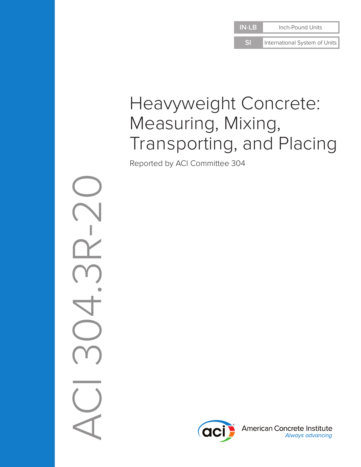**SI** International System of Units

# Heavyweight Concrete: Measuring, Mixing, Transporting, and Placing

Reported by ACI Committee 304

ACI 304.3R-20  $\overline{\phantom{a}}$ 

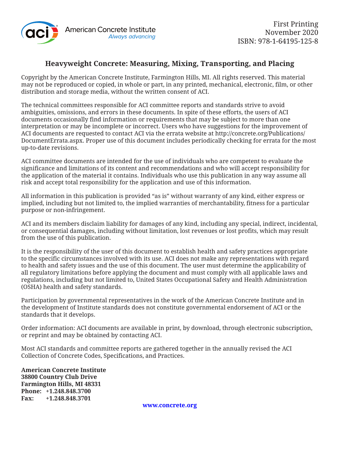

#### **Heavyweight Concrete: Measuring, Mixing, Transporting, and Placing**

Copyright by the American Concrete Institute, Farmington Hills, MI. All rights reserved. This material may not be reproduced or copied, in whole or part, in any printed, mechanical, electronic, film, or other distribution and storage media, without the written consent of ACI.

The technical committees responsible for ACI committee reports and standards strive to avoid ambiguities, omissions, and errors in these documents. In spite of these efforts, the users of ACI documents occasionally find information or requirements that may be subject to more than one interpretation or may be incomplete or incorrect. Users who have suggestions for the improvement of ACI documents are requested to contact ACI via the errata website at http://concrete.org/Publications/ DocumentErrata.aspx. Proper use of this document includes periodically checking for errata for the most up-to-date revisions.

ACI committee documents are intended for the use of individuals who are competent to evaluate the significance and limitations of its content and recommendations and who will accept responsibility for the application of the material it contains. Individuals who use this publication in any way assume all risk and accept total responsibility for the application and use of this information.

All information in this publication is provided "as is" without warranty of any kind, either express or implied, including but not limited to, the implied warranties of merchantability, fitness for a particular purpose or non-infringement.

ACI and its members disclaim liability for damages of any kind, including any special, indirect, incidental, or consequential damages, including without limitation, lost revenues or lost profits, which may result from the use of this publication.

It is the responsibility of the user of this document to establish health and safety practices appropriate to the specific circumstances involved with its use. ACI does not make any representations with regard to health and safety issues and the use of this document. The user must determine the applicability of all regulatory limitations before applying the document and must comply with all applicable laws and regulations, including but not limited to, United States Occupational Safety and Health Administration (OSHA) health and safety standards.

Participation by governmental representatives in the work of the American Concrete Institute and in the development of Institute standards does not constitute governmental endorsement of ACI or the standards that it develops.

Order information: ACI documents are available in print, by download, through electronic subscription, or reprint and may be obtained by contacting ACI.

Most ACI standards and committee reports are gathered together in the annually revised the ACI Collection of Concrete Codes, Specifications, and Practices.

**American Concrete Institute 38800 Country Club Drive Farmington Hills, MI 48331 Phone: +1.248.848.3700 Fax: +1.248.848.3701**

**www.concrete.org**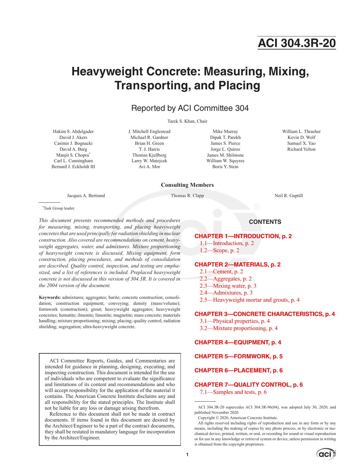## **ACI 304.3R-20**

William L. Thrasher Kevin D. Wolf Samuel X. Yao Richard Yelton

## **Heavyweight Concrete: Measuring, Mixing, Transporting, and Placing**

### Reported by ACI Committee 304

Tarek S. Khan, Chair

Hakim S. Abdelgader David J. Akers Casimir J. Bognacki David A. Burg Manjit S. Chopra\* Carl L. Cunningham Bernard J. Eckholdt III J. Mitchell Englestead Michael R. Gardner Brian H. Green T. J. Harris Thomas Kjellberg Larry W. Matejcek Avi A. Mor

#### **Consulting Members**

**1**

Jacques A. Bertrand Thomas R. Clapp Neil R. Guptill

\* Task Group leader.

*This document presents recommended methods and procedures for measuring, mixing, transporting, and placing heavyweight concretes that are used principally for radiation shielding in nuclear construction. Also covered are recommendations on cement, heavyweight aggregates, water, and admixtures. Mixture proportioning of heavyweight concrete is discussed. Mixing equipment, form construction, placing procedures, and methods of consolidation are described. Quality control, inspection, and testing are emphasized, and a list of references is included. Preplaced heavyweight concrete is not discussed in this version of 304.3R. It is covered in the 2004 version of the document.*

**Keywords:** admixtures; aggregates; barite; concrete construction; consolidation; construction equipment; conveying; density (mass/volume); formwork (construction); grout; heavyweight aggregates; heavyweight concretes; hematite; ilmenite; limonite; magnetite; mass concrete; materials handling; mixture proportioning; mixing; placing; quality control; radiation shielding; segregation; ultra-heavyweight concrete.

ACI Committee Reports, Guides, and Commentaries are intended for guidance in planning, designing, executing, and inspecting construction. This document is intended for the use of individuals who are competent to evaluate the significance and limitations of its content and recommendations and who will accept responsibility for the application of the material it contains. The American Concrete Institute disclaims any and all responsibility for the stated principles. The Institute shall not be liable for any loss or damage arising therefrom.

Reference to this document shall not be made in contract documents. If items found in this document are desired by the Architect/Engineer to be a part of the contract documents, they shall be restated in mandatory language for incorporation by the Architect/Engineer.

#### **CONTENTS**

#### **[CHAPTER 1—INTRODUCTION, p. 2](#page-3-0)**

[1.1—Introduction, p. 2](#page-3-0)

Mike Murray Dipak T. Parekh James S. Pierce Jorge L. Quiros James M. Shilstone William W. Squyres Boris Y. Stein

[1.2—Scope, p. 2](#page-3-0)

#### **[CHAPTER 2—MATERIALS, p. 2](#page-3-0)**

- [2.1—Cement, p. 2](#page-3-0)
- [2.2—Aggregates, p. 2](#page-3-0)
- [2.3—Mixing water, p. 3](#page--1-0)
- [2.4—Admixtures, p. 3](#page--1-0)
- [2.5—Heavyweight mortar and grouts, p. 4](#page--1-0)

#### **[CHAPTER 3—CONCRETE CHARACTERISTICS, p. 4](#page--1-0)**

- [3.1—Physical properties, p. 4](#page--1-0)
- [3.2—Mixture proportioning, p. 4](#page--1-0)

#### **[CHAPTER 4—EQUIPMENT, p. 4](#page--1-0)**

**[CHAPTER 5—FORMWORK, p. 5](#page--1-0)**

#### **[CHAPTER 6—PLACEMENT, p. 6](#page--1-0)**

**[CHAPTER 7—QUALITY CONTROL, p. 6](#page--1-0)** [7.1—Samples and tests, p. 6](#page--1-0)

ACI 304.3R-20 supercedes ACI 304.3R-96(04), was adopted July 30, 2020, and published November 2020.



Copyright © 2020, American Concrete Institute.

All rights reserved including rights of reproduction and use in any form or by any means, including the making of copies by any photo process, or by electronic or mechanical device, printed, written, or oral, or recording for sound or visual reproduction or for use in any knowledge or retrieval system or device, unless permission in writing is obtained from the copyright proprietors.